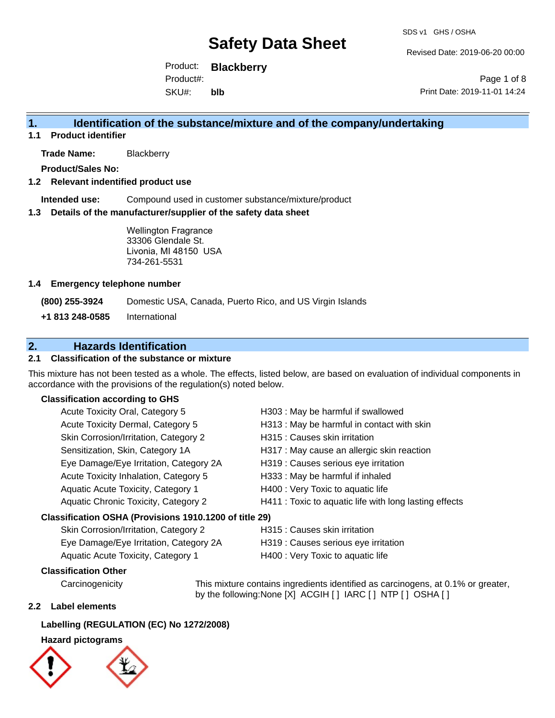Revised Date: 2019-06-20 00:00

Product: **Blackberry** SKU#: Product#: **blb**

Page 1 of 8 Print Date: 2019-11-01 14:24

# **1. Identification of the substance/mixture and of the company/undertaking**

**1.1 Product identifier**

**Trade Name:** Blackberry

**Product/Sales No:**

#### **1.2 Relevant indentified product use**

**Intended use:** Compound used in customer substance/mixture/product

#### **1.3 Details of the manufacturer/supplier of the safety data sheet**

Wellington Fragrance 33306 Glendale St. Livonia, MI 48150 USA 734-261-5531

#### **1.4 Emergency telephone number**

**(800) 255-3924** Domestic USA, Canada, Puerto Rico, and US Virgin Islands

**+1 813 248-0585** International

# **2. Hazards Identification**

#### **2.1 Classification of the substance or mixture**

This mixture has not been tested as a whole. The effects, listed below, are based on evaluation of individual components in accordance with the provisions of the regulation(s) noted below.

#### **Classification according to GHS**

| Acute Toxicity Oral, Category 5                        | H303 : May be harmful if swallowed                     |
|--------------------------------------------------------|--------------------------------------------------------|
| Acute Toxicity Dermal, Category 5                      | H313 : May be harmful in contact with skin             |
| Skin Corrosion/Irritation, Category 2                  | H315 : Causes skin irritation                          |
| Sensitization, Skin, Category 1A                       | H317 : May cause an allergic skin reaction             |
| Eye Damage/Eye Irritation, Category 2A                 | H319 : Causes serious eye irritation                   |
| Acute Toxicity Inhalation, Category 5                  | H333: May be harmful if inhaled                        |
| Aquatic Acute Toxicity, Category 1                     | H400 : Very Toxic to aquatic life                      |
| Aquatic Chronic Toxicity, Category 2                   | H411 : Toxic to aquatic life with long lasting effects |
| Classification OSHA (Provisions 1910.1200 of title 29) |                                                        |
| Skin Corrosion/Irritation Category 2                   | $H315 \cdot$ Causes skin irritation                    |

| $\frac{1}{2}$ and $\frac{1}{2}$ and $\frac{1}{2}$ and $\frac{1}{2}$ and $\frac{1}{2}$ and $\frac{1}{2}$ and $\frac{1}{2}$ |                                      |
|---------------------------------------------------------------------------------------------------------------------------|--------------------------------------|
| Eye Damage/Eye Irritation, Category 2A                                                                                    | H319 : Causes serious eye irritation |
| Aquatic Acute Toxicity, Category 1                                                                                        | H400 : Very Toxic to aquatic life    |

### **Classification Other**

by the following:None [X] ACGIH [ ] IARC [ ] NTP [ ] OSHA [ ]

#### **2.2 Label elements**

#### **Labelling (REGULATION (EC) No 1272/2008)**

#### **Hazard pictograms**



Carcinogenicity This mixture contains ingredients identified as carcinogens, at 0.1% or greater,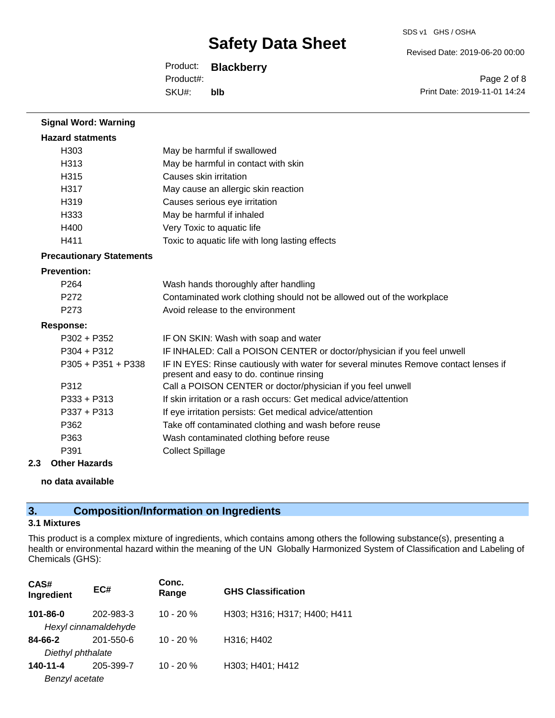Revised Date: 2019-06-20 00:00

Product: **Blackberry** SKU#: Product#: **blb**

Page 2 of 8 Print Date: 2019-11-01 14:24

| <b>Signal Word: Warning</b>     |                                                                                                                                  |
|---------------------------------|----------------------------------------------------------------------------------------------------------------------------------|
| <b>Hazard statments</b>         |                                                                                                                                  |
| H <sub>303</sub>                | May be harmful if swallowed                                                                                                      |
| H313                            | May be harmful in contact with skin                                                                                              |
| H315                            | Causes skin irritation                                                                                                           |
| H317                            | May cause an allergic skin reaction                                                                                              |
| H <sub>319</sub>                | Causes serious eye irritation                                                                                                    |
| H <sub>333</sub>                | May be harmful if inhaled                                                                                                        |
| H400                            | Very Toxic to aquatic life                                                                                                       |
| H411                            | Toxic to aquatic life with long lasting effects                                                                                  |
| <b>Precautionary Statements</b> |                                                                                                                                  |
| <b>Prevention:</b>              |                                                                                                                                  |
| P <sub>264</sub>                | Wash hands thoroughly after handling                                                                                             |
| P <sub>272</sub>                | Contaminated work clothing should not be allowed out of the workplace                                                            |
| P <sub>273</sub>                | Avoid release to the environment                                                                                                 |
| <b>Response:</b>                |                                                                                                                                  |
| $P302 + P352$                   | IF ON SKIN: Wash with soap and water                                                                                             |
| $P304 + P312$                   | IF INHALED: Call a POISON CENTER or doctor/physician if you feel unwell                                                          |
| $P305 + P351 + P338$            | IF IN EYES: Rinse cautiously with water for several minutes Remove contact lenses if<br>present and easy to do. continue rinsing |
| P312                            | Call a POISON CENTER or doctor/physician if you feel unwell                                                                      |
| $P333 + P313$                   | If skin irritation or a rash occurs: Get medical advice/attention                                                                |
| $P337 + P313$                   | If eye irritation persists: Get medical advice/attention                                                                         |
| P362                            | Take off contaminated clothing and wash before reuse                                                                             |
| P363                            | Wash contaminated clothing before reuse                                                                                          |
| P391                            | <b>Collect Spillage</b>                                                                                                          |

#### **2.3 Other Hazards**

**no data available**

# **3. Composition/Information on Ingredients**

#### **3.1 Mixtures**

This product is a complex mixture of ingredients, which contains among others the following substance(s), presenting a health or environmental hazard within the meaning of the UN Globally Harmonized System of Classification and Labeling of Chemicals (GHS):

| CAS#<br>Ingredient | EC#                  | Conc.<br>Range | <b>GHS Classification</b>    |
|--------------------|----------------------|----------------|------------------------------|
| 101-86-0           | 202-983-3            | $10 - 20 \%$   | H303; H316; H317; H400; H411 |
|                    | Hexyl cinnamaldehyde |                |                              |
| 84-66-2            | 201-550-6            | $10 - 20%$     | H316; H402                   |
| Diethyl phthalate  |                      |                |                              |
| 140-11-4           | 205-399-7            | $10 - 20%$     | H303; H401; H412             |
| Benzyl acetate     |                      |                |                              |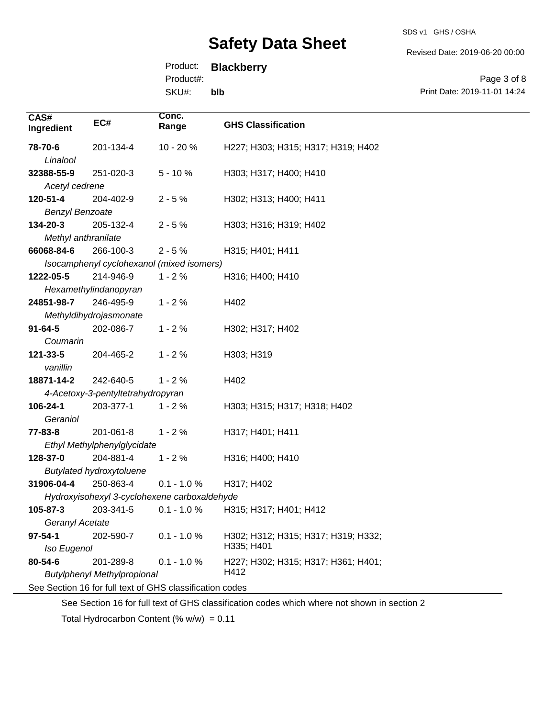Revised Date: 2019-06-20 00:00

Product: **Blackberry**

Product#:

SKU#: **blb**

Page 3 of 8 Print Date: 2019-11-01 14:24

| CAS#<br>Ingredient                                       | EC#                               | Conc.<br>Range                            | <b>GHS Classification</b>           |
|----------------------------------------------------------|-----------------------------------|-------------------------------------------|-------------------------------------|
| 78-70-6                                                  | 201-134-4                         | 10 - 20 %                                 | H227; H303; H315; H317; H319; H402  |
| Linalool                                                 |                                   |                                           |                                     |
| 32388-55-9                                               | 251-020-3                         | $5 - 10%$                                 | H303; H317; H400; H410              |
| Acetyl cedrene                                           |                                   |                                           |                                     |
| 120-51-4                                                 | 204-402-9                         | $2 - 5%$                                  | H302; H313; H400; H411              |
| <b>Benzyl Benzoate</b>                                   |                                   |                                           |                                     |
| 134-20-3                                                 | 205-132-4                         | $2 - 5%$                                  | H303; H316; H319; H402              |
| Methyl anthranilate                                      |                                   |                                           |                                     |
| 66068-84-6                                               | 266-100-3                         | $2 - 5%$                                  | H315; H401; H411                    |
|                                                          |                                   | Isocamphenyl cyclohexanol (mixed isomers) |                                     |
| 1222-05-5                                                | 214-946-9                         | $1 - 2%$                                  | H316; H400; H410                    |
|                                                          | Hexamethylindanopyran             |                                           |                                     |
| 24851-98-7                                               | 246-495-9                         | $1 - 2%$                                  | H402                                |
|                                                          | Methyldihydrojasmonate            |                                           |                                     |
| $91 - 64 - 5$                                            | 202-086-7                         | $1 - 2%$                                  | H302; H317; H402                    |
| Coumarin                                                 |                                   |                                           |                                     |
| 121-33-5                                                 | 204-465-2                         | $1 - 2%$                                  | H303; H319                          |
| vanillin                                                 |                                   |                                           |                                     |
| 18871-14-2                                               | 242-640-5                         | $1 - 2%$                                  | H402                                |
|                                                          | 4-Acetoxy-3-pentyltetrahydropyran |                                           |                                     |
| 106-24-1                                                 | 203-377-1                         | $1 - 2%$                                  | H303; H315; H317; H318; H402        |
| Geraniol                                                 |                                   |                                           |                                     |
| 77-83-8                                                  | 201-061-8                         | $1 - 2%$                                  | H317; H401; H411                    |
|                                                          | Ethyl Methylphenylglycidate       |                                           |                                     |
| 128-37-0                                                 | 204-881-4                         | $1 - 2%$                                  | H316; H400; H410                    |
|                                                          | <b>Butylated hydroxytoluene</b>   |                                           |                                     |
| 31906-04-4                                               | 250-863-4                         | $0.1 - 1.0 \%$                            | H317; H402                          |
| Hydroxyisohexyl 3-cyclohexene carboxaldehyde             |                                   |                                           |                                     |
| 105-87-3                                                 | 203-341-5                         | $0.1 - 1.0 %$                             | H315; H317; H401; H412              |
| Geranyl Acetate                                          |                                   |                                           |                                     |
| $97 - 54 - 1$                                            | 202-590-7                         | $0.1 - 1.0 %$                             | H302; H312; H315; H317; H319; H332; |
| Iso Eugenol                                              |                                   |                                           | H335; H401                          |
| 80-54-6                                                  | 201-289-8                         | $0.1 - 1.0 %$                             | H227; H302; H315; H317; H361; H401; |
| H412<br><b>Butylphenyl Methylpropional</b>               |                                   |                                           |                                     |
| See Section 16 for full text of GHS classification codes |                                   |                                           |                                     |

See Section 16 for full text of GHS classification codes which where not shown in section 2

Total Hydrocarbon Content  $(% \mathcal{O}_{N})$  = 0.11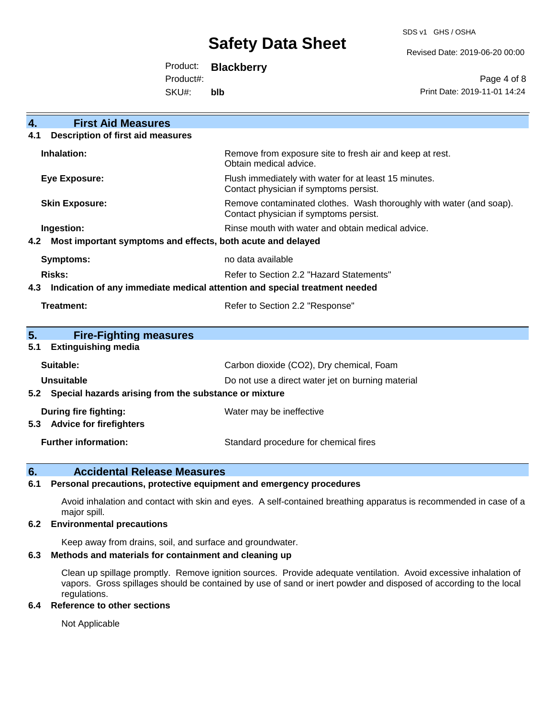SDS v1 GHS / OSHA

Revised Date: 2019-06-20 00:00

Product: **Blackberry**

Product#:

SKU#: **blb**

Page 4 of 8 Print Date: 2019-11-01 14:24

| <b>First Aid Measures</b><br>4.                                                   |                                                                                                               |  |
|-----------------------------------------------------------------------------------|---------------------------------------------------------------------------------------------------------------|--|
| <b>Description of first aid measures</b><br>4.1                                   |                                                                                                               |  |
| Inhalation:                                                                       | Remove from exposure site to fresh air and keep at rest.<br>Obtain medical advice.                            |  |
| <b>Eye Exposure:</b>                                                              | Flush immediately with water for at least 15 minutes.<br>Contact physician if symptoms persist.               |  |
| <b>Skin Exposure:</b>                                                             | Remove contaminated clothes. Wash thoroughly with water (and soap).<br>Contact physician if symptoms persist. |  |
| Ingestion:                                                                        | Rinse mouth with water and obtain medical advice.                                                             |  |
| Most important symptoms and effects, both acute and delayed<br>4.2                |                                                                                                               |  |
| <b>Symptoms:</b>                                                                  | no data available                                                                                             |  |
| <b>Risks:</b>                                                                     | Refer to Section 2.2 "Hazard Statements"                                                                      |  |
| Indication of any immediate medical attention and special treatment needed<br>4.3 |                                                                                                               |  |
| <b>Treatment:</b>                                                                 | Refer to Section 2.2 "Response"                                                                               |  |
| 5.<br><b>Fire-Fighting measures</b>                                               |                                                                                                               |  |
| <b>Extinguishing media</b><br>5.1                                                 |                                                                                                               |  |
| Suitable:                                                                         | Carbon dioxide (CO2), Dry chemical, Foam                                                                      |  |
| Unsuitable                                                                        | Do not use a direct water jet on burning material                                                             |  |
| 5.2 Special hazards arising from the substance or mixture                         |                                                                                                               |  |
| During fire fighting:                                                             | Water may be ineffective                                                                                      |  |
| <b>Advice for firefighters</b><br>5.3                                             |                                                                                                               |  |
| <b>Further information:</b>                                                       | Standard procedure for chemical fires                                                                         |  |

### **6. Accidental Release Measures**

#### **6.1 Personal precautions, protective equipment and emergency procedures**

Avoid inhalation and contact with skin and eyes. A self-contained breathing apparatus is recommended in case of a major spill.

#### **6.2 Environmental precautions**

Keep away from drains, soil, and surface and groundwater.

#### **6.3 Methods and materials for containment and cleaning up**

Clean up spillage promptly. Remove ignition sources. Provide adequate ventilation. Avoid excessive inhalation of vapors. Gross spillages should be contained by use of sand or inert powder and disposed of according to the local regulations.

#### **6.4 Reference to other sections**

Not Applicable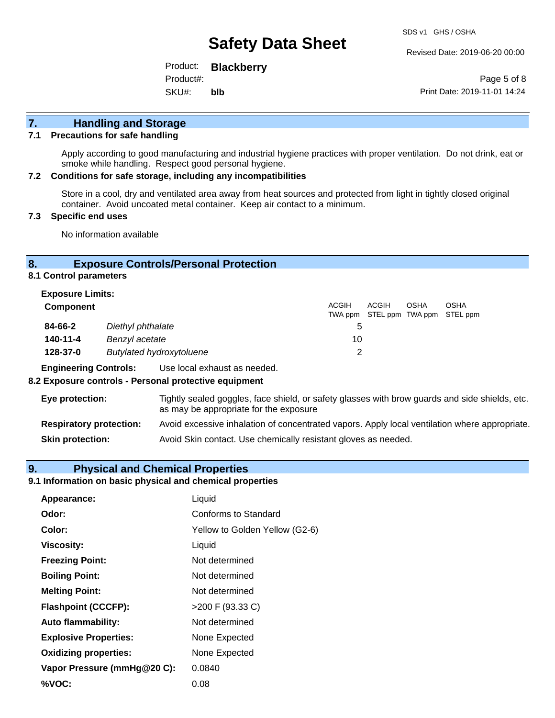Revised Date: 2019-06-20 00:00

Product: **Blackberry** SKU#: Product#: **blb**

Page 5 of 8 Print Date: 2019-11-01 14:24

# **7. Handling and Storage**

#### **7.1 Precautions for safe handling**

Apply according to good manufacturing and industrial hygiene practices with proper ventilation. Do not drink, eat or smoke while handling. Respect good personal hygiene.

#### **7.2 Conditions for safe storage, including any incompatibilities**

Store in a cool, dry and ventilated area away from heat sources and protected from light in tightly closed original container. Avoid uncoated metal container. Keep air contact to a minimum.

#### **7.3 Specific end uses**

No information available

#### **8. Exposure Controls/Personal Protection**

**8.1 Control parameters**

| <b>Exposure Limits:</b>                     |                                                                                                                   |       |       |             |                                           |
|---------------------------------------------|-------------------------------------------------------------------------------------------------------------------|-------|-------|-------------|-------------------------------------------|
| <b>Component</b>                            |                                                                                                                   | ACGIH | ACGIH | <b>OSHA</b> | OSHA<br>TWA ppm STEL ppm TWA ppm STEL ppm |
| 84-66-2                                     | Diethyl phthalate                                                                                                 | 5     |       |             |                                           |
| 140-11-4                                    | Benzyl acetate                                                                                                    | 10    |       |             |                                           |
| <b>Butylated hydroxytoluene</b><br>128-37-0 |                                                                                                                   | 2     |       |             |                                           |
|                                             | - Expedia contact Advantage Linux Hotel Development Contact Development Hotel Development Development Development |       |       |             |                                           |

**Engineering Controls:** Use local exhaust as needed.

#### **8.2 Exposure controls - Personal protective equipment**

| Eye protection:                | Tightly sealed goggles, face shield, or safety glasses with brow guards and side shields, etc.<br>as may be appropriate for the exposure |
|--------------------------------|------------------------------------------------------------------------------------------------------------------------------------------|
| <b>Respiratory protection:</b> | Avoid excessive inhalation of concentrated vapors. Apply local ventilation where appropriate.                                            |
| <b>Skin protection:</b>        | Avoid Skin contact. Use chemically resistant gloves as needed.                                                                           |

# **9. Physical and Chemical Properties**

#### **9.1 Information on basic physical and chemical properties**

| Appearance:                  | Liquid                         |
|------------------------------|--------------------------------|
| Odor:                        | Conforms to Standard           |
| Color:                       | Yellow to Golden Yellow (G2-6) |
| <b>Viscosity:</b>            | Liquid                         |
| <b>Freezing Point:</b>       | Not determined                 |
| <b>Boiling Point:</b>        | Not determined                 |
| <b>Melting Point:</b>        | Not determined                 |
| <b>Flashpoint (CCCFP):</b>   | >200 F (93.33 C)               |
| <b>Auto flammability:</b>    | Not determined                 |
| <b>Explosive Properties:</b> | None Expected                  |
| <b>Oxidizing properties:</b> | None Expected                  |
| Vapor Pressure (mmHg@20 C):  | 0.0840                         |
| %VOC:                        | 0.08                           |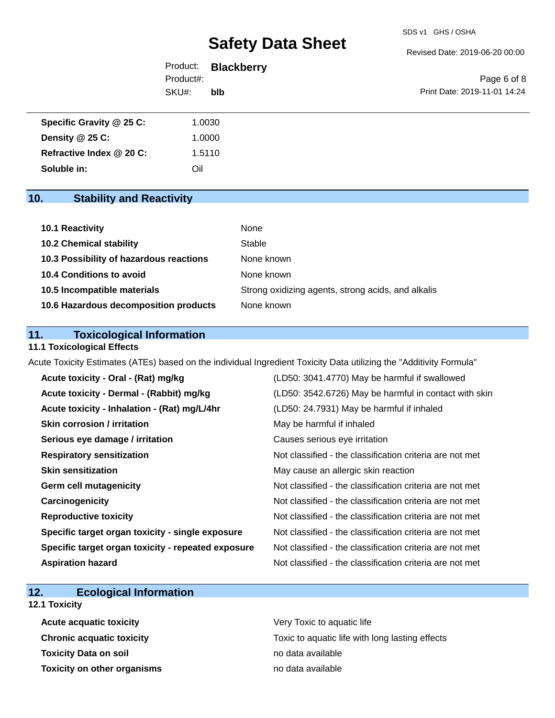Revised Date: 2019-06-20 00:00

|           | Product: <b>Blackberry</b> |                              |
|-----------|----------------------------|------------------------------|
| Product#: |                            | Page 6 of 8                  |
| SKU#:     | blb                        | Print Date: 2019-11-01 14:24 |

| Specific Gravity @ 25 C: | 1.0030 |
|--------------------------|--------|
| Density @ 25 C:          | 1.0000 |
| Refractive Index @ 20 C: | 1.5110 |
| Soluble in:              | Oil    |

# **10. Stability and Reactivity**

| 10.1 Reactivity                         | None                                               |
|-----------------------------------------|----------------------------------------------------|
| <b>10.2 Chemical stability</b>          | Stable                                             |
| 10.3 Possibility of hazardous reactions | None known                                         |
| <b>10.4 Conditions to avoid</b>         | None known                                         |
| 10.5 Incompatible materials             | Strong oxidizing agents, strong acids, and alkalis |
| 10.6 Hazardous decomposition products   | None known                                         |

### **11. Toxicological Information**

### **11.1 Toxicological Effects**

Acute Toxicity Estimates (ATEs) based on the individual Ingredient Toxicity Data utilizing the "Additivity Formula"

| Acute toxicity - Oral - (Rat) mg/kg                | (LD50: 3041.4770) May be harmful if swallowed            |
|----------------------------------------------------|----------------------------------------------------------|
| Acute toxicity - Dermal - (Rabbit) mg/kg           | (LD50: 3542.6726) May be harmful in contact with skin    |
| Acute toxicity - Inhalation - (Rat) mg/L/4hr       | (LD50: 24.7931) May be harmful if inhaled                |
| <b>Skin corrosion / irritation</b>                 | May be harmful if inhaled                                |
| Serious eye damage / irritation                    | Causes serious eye irritation                            |
| <b>Respiratory sensitization</b>                   | Not classified - the classification criteria are not met |
| <b>Skin sensitization</b>                          | May cause an allergic skin reaction                      |
| <b>Germ cell mutagenicity</b>                      | Not classified - the classification criteria are not met |
| Carcinogenicity                                    | Not classified - the classification criteria are not met |
| <b>Reproductive toxicity</b>                       | Not classified - the classification criteria are not met |
| Specific target organ toxicity - single exposure   | Not classified - the classification criteria are not met |
| Specific target organ toxicity - repeated exposure | Not classified - the classification criteria are not met |
| <b>Aspiration hazard</b>                           | Not classified - the classification criteria are not met |

### **12. Ecological Information**

#### **12.1 Toxicity**

**Acute acquatic toxicity Very Toxic to aquatic life Toxicity Data on soil no data available no data available Toxicity on other organisms** no data available

**Chronic acquatic toxicity Toxic to aquatic life with long lasting effects**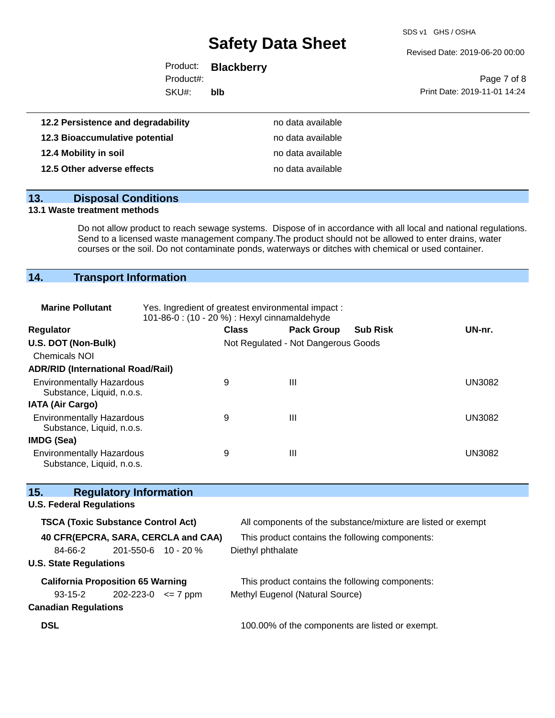SDS v1 GHS / OSHA

Revised Date: 2019-06-20 00:00

|           | Product: <b>Blackberry</b> |                              |
|-----------|----------------------------|------------------------------|
| Product#: |                            | Page 7 of 8                  |
| SKU#:     | blb                        | Print Date: 2019-11-01 14:24 |
|           |                            |                              |
| - - ---   |                            |                              |

| 12.2 Persistence and degradability | no data available |
|------------------------------------|-------------------|
| 12.3 Bioaccumulative potential     | no data available |
| 12.4 Mobility in soil              | no data available |
| 12.5 Other adverse effects         | no data available |

| 13. | <b>Disposal Conditions</b> |
|-----|----------------------------|
|     |                            |

#### **13.1 Waste treatment methods**

Do not allow product to reach sewage systems. Dispose of in accordance with all local and national regulations. Send to a licensed waste management company.The product should not be allowed to enter drains, water courses or the soil. Do not contaminate ponds, waterways or ditches with chemical or used container.

# **14. Transport Information**

| <b>Marine Pollutant</b>                                       | Yes. Ingredient of greatest environmental impact:<br>101-86-0 : (10 - 20 %) : Hexyl cinnamaldehyde |                   |                                     |                                                              |               |
|---------------------------------------------------------------|----------------------------------------------------------------------------------------------------|-------------------|-------------------------------------|--------------------------------------------------------------|---------------|
| Regulator                                                     |                                                                                                    | <b>Class</b>      | <b>Pack Group</b>                   | <b>Sub Risk</b>                                              | UN-nr.        |
| U.S. DOT (Non-Bulk)                                           |                                                                                                    |                   | Not Regulated - Not Dangerous Goods |                                                              |               |
| Chemicals NOI                                                 |                                                                                                    |                   |                                     |                                                              |               |
| <b>ADR/RID (International Road/Rail)</b>                      |                                                                                                    |                   |                                     |                                                              |               |
| <b>Environmentally Hazardous</b><br>Substance, Liquid, n.o.s. |                                                                                                    | 9                 | $\mathbf{III}$                      |                                                              | <b>UN3082</b> |
| <b>IATA (Air Cargo)</b>                                       |                                                                                                    |                   |                                     |                                                              |               |
| <b>Environmentally Hazardous</b><br>Substance, Liquid, n.o.s. |                                                                                                    | 9                 | III                                 |                                                              | <b>UN3082</b> |
| IMDG (Sea)                                                    |                                                                                                    |                   |                                     |                                                              |               |
| <b>Environmentally Hazardous</b><br>Substance, Liquid, n.o.s. |                                                                                                    | 9                 | Ш                                   |                                                              | <b>UN3082</b> |
| 15.<br><b>Regulatory Information</b>                          |                                                                                                    |                   |                                     |                                                              |               |
| <b>U.S. Federal Regulations</b>                               |                                                                                                    |                   |                                     |                                                              |               |
| <b>TSCA (Toxic Substance Control Act)</b>                     |                                                                                                    |                   |                                     | All components of the substance/mixture are listed or exempt |               |
| 40 CFR(EPCRA, SARA, CERCLA and CAA)                           |                                                                                                    |                   |                                     | This product contains the following components:              |               |
| 84-66-2                                                       | 201-550-6 10 - 20 %                                                                                | Diethyl phthalate |                                     |                                                              |               |
| <b>U.S. State Regulations</b>                                 |                                                                                                    |                   |                                     |                                                              |               |
| <b>California Proposition 65 Warning</b>                      |                                                                                                    |                   |                                     | This product contains the following components:              |               |
| $93 - 15 - 2$                                                 | $202 - 223 - 0 \leq 7$ ppm                                                                         |                   | Methyl Eugenol (Natural Source)     |                                                              |               |
| Conadian Doculations                                          |                                                                                                    |                   |                                     |                                                              |               |

### **Canadian Regulations**

**DSL DSL 100.00%** of the components are listed or exempt.